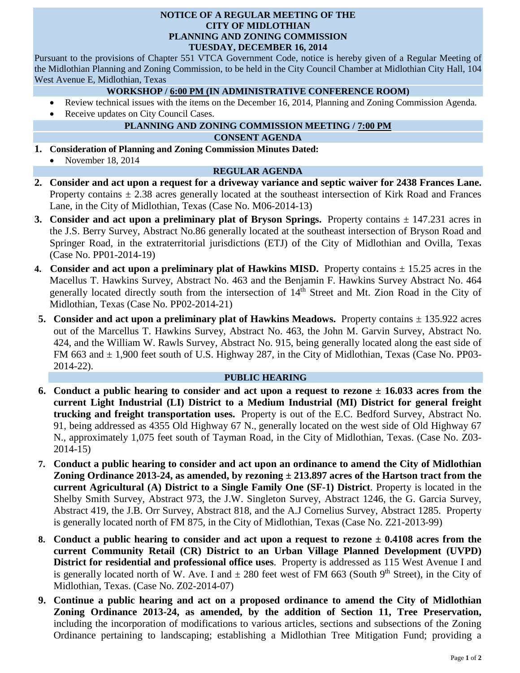#### **NOTICE OF A REGULAR MEETING OF THE CITY OF MIDLOTHIAN PLANNING AND ZONING COMMISSION TUESDAY, DECEMBER 16, 2014**

Pursuant to the provisions of Chapter 551 VTCA Government Code, notice is hereby given of a Regular Meeting of the Midlothian Planning and Zoning Commission, to be held in the City Council Chamber at Midlothian City Hall, 104 West Avenue E, Midlothian, Texas

## **WORKSHOP / 6:00 PM (IN ADMINISTRATIVE CONFERENCE ROOM)**

- Review technical issues with the items on the December 16, 2014, Planning and Zoning Commission Agenda.
- Receive updates on City Council Cases.

# **PLANNING AND ZONING COMMISSION MEETING / 7:00 PM**

### **CONSENT AGENDA**

- **1. Consideration of Planning and Zoning Commission Minutes Dated:** 
	- November 18, 2014

## **REGULAR AGENDA**

- **2. Consider and act upon a request for a driveway variance and septic waiver for 2438 Frances Lane.**  Property contains  $\pm$  2.38 acres generally located at the southeast intersection of Kirk Road and Frances Lane, in the City of Midlothian, Texas (Case No. M06-2014-13)
- **3.** Consider and act upon a preliminary plat of Bryson Springs. Property contains  $\pm$  147.231 acres in the J.S. Berry Survey, Abstract No.86 generally located at the southeast intersection of Bryson Road and Springer Road, in the extraterritorial jurisdictions (ETJ) of the City of Midlothian and Ovilla, Texas (Case No. PP01-2014-19)
- **4. Consider and act upon a preliminary plat of Hawkins MISD.** Property contains  $\pm$  15.25 acres in the Macellus T. Hawkins Survey, Abstract No. 463 and the Benjamin F. Hawkins Survey Abstract No. 464 generally located directly south from the intersection of 14<sup>th</sup> Street and Mt. Zion Road in the City of Midlothian, Texas (Case No. PP02-2014-21)
- **5.** Consider and act upon a preliminary plat of Hawkins Meadows. Property contains  $\pm$  135.922 acres out of the Marcellus T. Hawkins Survey, Abstract No. 463, the John M. Garvin Survey, Abstract No. 424, and the William W. Rawls Survey, Abstract No. 915, being generally located along the east side of FM 663 and  $\pm$  1,900 feet south of U.S. Highway 287, in the City of Midlothian, Texas (Case No. PP03-2014-22).

## **PUBLIC HEARING**

- **6. Conduct a public hearing to consider and act upon a request to rezone ± 16.033 acres from the current Light Industrial (LI) District to a Medium Industrial (MI) District for general freight trucking and freight transportation uses.** Property is out of the E.C. Bedford Survey, Abstract No. 91, being addressed as 4355 Old Highway 67 N., generally located on the west side of Old Highway 67 N., approximately 1,075 feet south of Tayman Road, in the City of Midlothian, Texas. (Case No. Z03- 2014-15)
- **7. Conduct a public hearing to consider and act upon an ordinance to amend the City of Midlothian Zoning Ordinance 2013-24, as amended, by rezoning ± 213.897 acres of the Hartson tract from the current Agricultural (A) District to a Single Family One (SF-1) District**. Property is located in the Shelby Smith Survey, Abstract 973, the J.W. Singleton Survey, Abstract 1246, the G. Garcia Survey, Abstract 419, the J.B. Orr Survey, Abstract 818, and the A.J Cornelius Survey, Abstract 1285. Property is generally located north of FM 875, in the City of Midlothian, Texas (Case No. Z21-2013-99)
- **8. Conduct a public hearing to consider and act upon a request to rezone ± 0.4108 acres from the current Community Retail (CR) District to an Urban Village Planned Development (UVPD) District for residential and professional office uses**. Property is addressed as 115 West Avenue I and is generally located north of W. Ave. I and  $\pm 280$  feet west of FM 663 (South 9<sup>th</sup> Street), in the City of Midlothian, Texas. (Case No. Z02-2014-07)
- **9. Continue a public hearing and act on a proposed ordinance to amend the City of Midlothian Zoning Ordinance 2013-24, as amended, by the addition of Section 11, Tree Preservation,**  including the incorporation of modifications to various articles, sections and subsections of the Zoning Ordinance pertaining to landscaping; establishing a Midlothian Tree Mitigation Fund; providing a